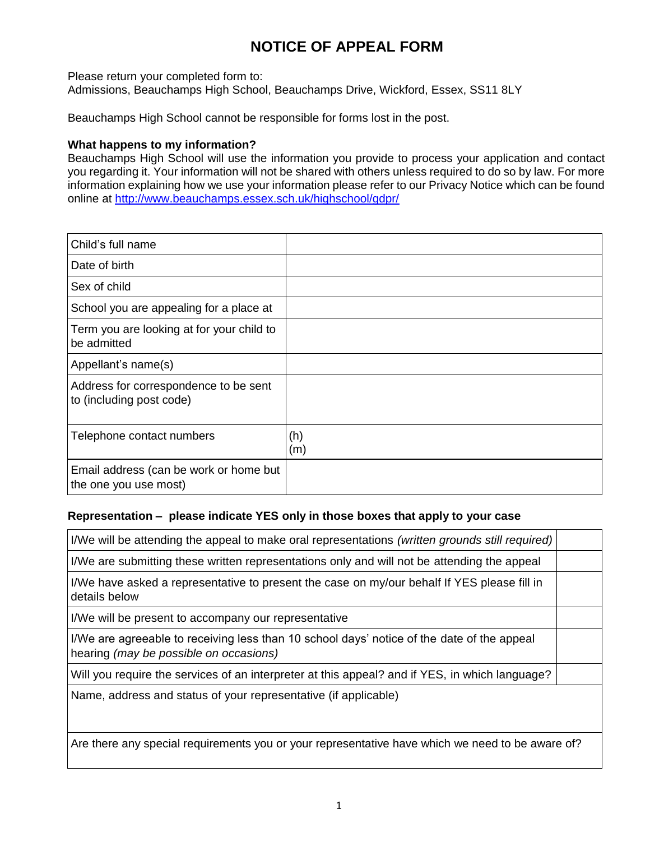## **NOTICE OF APPEAL FORM**

Please return your completed form to: Admissions, Beauchamps High School, Beauchamps Drive, Wickford, Essex, SS11 8LY

Beauchamps High School cannot be responsible for forms lost in the post.

## **What happens to my information?**

Beauchamps High School will use the information you provide to process your application and contact you regarding it. Your information will not be shared with others unless required to do so by law. For more information explaining how we use your information please refer to our Privacy Notice which can be found online at<http://www.beauchamps.essex.sch.uk/highschool/gdpr/>

| Child's full name                                                 |            |
|-------------------------------------------------------------------|------------|
| Date of birth                                                     |            |
| Sex of child                                                      |            |
| School you are appealing for a place at                           |            |
| Term you are looking at for your child to<br>be admitted          |            |
| Appellant's name(s)                                               |            |
| Address for correspondence to be sent<br>to (including post code) |            |
| Telephone contact numbers                                         | (h)<br>(m) |
| Email address (can be work or home but<br>the one you use most)   |            |

## **Representation – please indicate YES only in those boxes that apply to your case**

| I/We will be attending the appeal to make oral representations (written grounds still required)                                      |  |  |
|--------------------------------------------------------------------------------------------------------------------------------------|--|--|
| I/We are submitting these written representations only and will not be attending the appeal                                          |  |  |
| I/We have asked a representative to present the case on my/our behalf If YES please fill in<br>details below                         |  |  |
| I/We will be present to accompany our representative                                                                                 |  |  |
| I/We are agreeable to receiving less than 10 school days' notice of the date of the appeal<br>hearing (may be possible on occasions) |  |  |
| Will you require the services of an interpreter at this appeal? and if YES, in which language?                                       |  |  |
| Name, address and status of your representative (if applicable)                                                                      |  |  |
| Are there any special requirements you or your representative have which we need to be aware of?                                     |  |  |